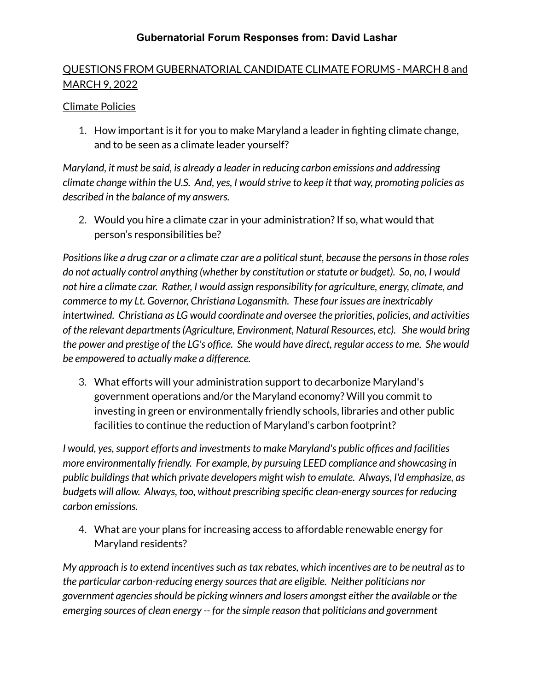## QUESTIONS FROM GUBERNATORIAL CANDIDATE CLIMATE FORUMS - MARCH 8 and MARCH 9, 2022

#### Climate Policies

1. How important is it for you to make Maryland a leader in fighting climate change, and to be seen as a climate leader yourself?

*Maryland, it must be said, is already a leader in reducing carbon emissions and addressing climate change within the U.S. And, yes, I would strive to keep it that way, promoting policies as described in the balance of my answers.*

2. Would you hire a climate czar in your administration?If so, what would that person's responsibilities be?

*Positionslike a drug czar or a climate czar are a politicalstunt, because the personsin those roles do not actually control anything (whether by constitution orstatute or budget). So, no, I would not hire a climate czar. Rather, I would assign responsibility for agriculture, energy, climate, and commerce to my Lt. Governor, Christiana Logansmith. These four issues are inextricably intertwined. Christiana as LG would coordinate and oversee the priorities, policies, and activities of the relevant departments(Agriculture, Environment, Natural Resources, etc). She would bring the power and prestige of the LG's office. She would have direct, regular accessto me. She would be empowered to actually make a difference.*

3. What efforts will your administration support to decarbonize Maryland's government operations and/or the Maryland economy? Will you commit to investing in green or environmentally friendly schools, libraries and other public facilities to continue the reduction of Maryland's carbon footprint?

*I would, yes,support efforts and investmentsto make Maryland's public offices and facilities more environmentally friendly. For example, by pursuing LEED compliance and showcasing in public buildingsthat which private developers might wish to emulate. Always, I'd emphasize, as budgets will allow. Always, too, without prescribing specific clean-energy sourcesfor reducing carbon emissions.*

4. What are your plans for increasing access to affordable renewable energy for Maryland residents?

*My approach isto extend incentivessuch astax rebates, which incentives are to be neutral asto the particular carbon-reducing energy sourcesthat are eligible. Neither politicians nor government agenciesshould be picking winners and losers amongst either the available or the emerging sources of clean energy -- for the simple reason that politicians and government*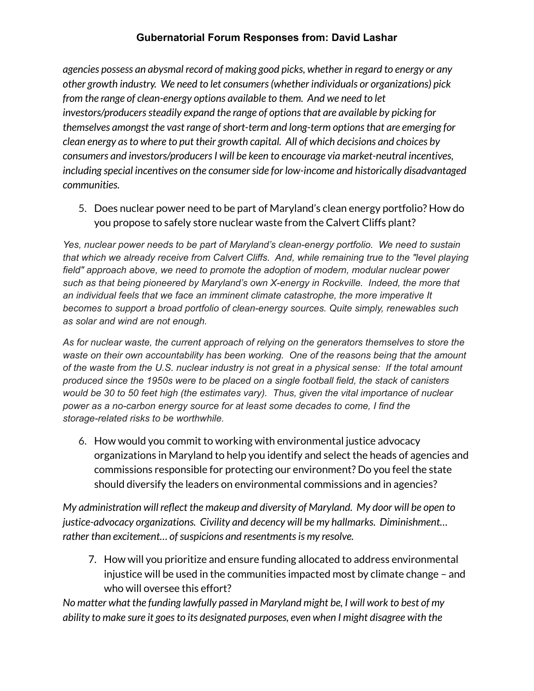*agencies possess an abysmal record of making good picks, whether in regard to energy or any other growth industry. We need to let consumers(whether individuals or organizations) pick from the range of clean-energy options available to them. And we need to let investors/producerssteadily expand the range of optionsthat are available by picking for themselves amongst the vast range ofshort-term and long-term optionsthat are emerging for clean energy asto where to put their growth capital. All of which decisions and choices by consumers and investors/producersI will be keen to encourage via market-neutral incentives, including special incentives on the consumerside for low-income and historically disadvantaged communities.*

5. Does nuclear power need to be part of Maryland's clean energy portfolio? How do you propose to safely store nuclear waste from the Calvert Cliffs plant?

*Yes, nuclear power needs to be part of Maryland's clean-energy portfolio. We need to sustain that which we already receive from Calvert Cliffs. And, while remaining true to the "level playing field" approach above, we need to promote the adoption of modern, modular nuclear power such as that being pioneered by Maryland's own X-energy in Rockville. Indeed, the more that an individual feels that we face an imminent climate catastrophe, the more imperative It becomes to support a broad portfolio of clean-energy sources. Quite simply, renewables such as solar and wind are not enough.*

*As for nuclear waste, the current approach of relying on the generators themselves to store the waste on their own accountability has been working. One of the reasons being that the amount* of the waste from the U.S. nuclear industry is not great in a physical sense: If the total amount *produced since the 1950s were to be placed on a single football field, the stack of canisters would be 30 to 50 feet high (the estimates vary). Thus, given the vital importance of nuclear power as a no-carbon energy source for at least some decades to come, I find the storage-related risks to be worthwhile.*

6. How would you commit to working with environmental justice advocacy organizations in Maryland to help you identify and select the heads of agencies and commissions responsible for protecting our environment? Do you feel the state should diversify the leaders on environmental commissions and in agencies?

*My administration will reflect the makeup and diversity of Maryland. My door will be open to justice-advocacy organizations. Civility and decency will be my hallmarks. Diminishment… rather than excitement... of suspicions and resentments is my resolve.* 

7. How will you prioritize and ensure funding allocated to address environmental injustice will be used in the communities impacted most by climate change – and who will oversee this effort?

*No matter what the funding lawfully passed in Maryland might be, I will work to best of my ability to make sure it goesto its designated purposes, even when I might disagree with the*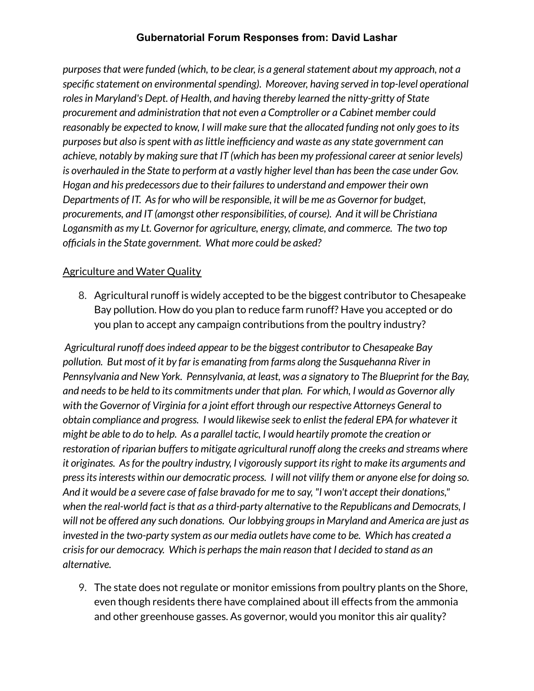*purposesthat were funded (which, to be clear, is a generalstatement about my approach, not a specific statement on environmentalspending). Moreover, having served in top-level operational rolesin Maryland's Dept. of Health, and having thereby learned the nitty-gritty of State procurement and administration that not even a Comptroller or a Cabinet member could reasonably be expected to know, I will make sure that the allocated funding not only goesto its purposes but also isspent with aslittle inefficiency and waste as any state government can achieve, notably by making sure that IT (which has been my professional career atsenior levels)* is overhauled in the State to perform at a vastly higher level than has been the case under Gov. *Hogan and his predecessors due to their failuresto understand and empower their own Departments of IT. Asfor who will be responsible, it will be me as Governor for budget, procurements, and IT (amongst other responsibilities, of course). And it will be Christiana Logansmith as my Lt. Governor for agriculture, energy, climate, and commerce. The two top officialsin the State government. What more could be asked?*

#### **Agriculture and Water Quality**

8. Agricultural runoff is widely accepted to be the biggest contributor to Chesapeake Bay pollution. How do you plan to reduce farm runoff? Have you accepted or do you plan to accept any campaign contributions from the poultry industry?

*Agricultural runoff doesindeed appear to be the biggest contributor to Chesapeake Bay pollution. But most of it by far is emanating from farms along the Susquehanna River in Pennsylvania and New York. Pennsylvania, at least, was a signatory to The Blueprint for the Bay, and needsto be held to its commitments under that plan. For which, I would as Governor ally with the Governor of Virginia for a joint effort through our respective Attorneys General to obtain compliance and progress. I would likewise seek to enlist the federal EPA for whatever it might be able to do to help. As a parallel tactic, I would heartily promote the creation or restoration of riparian buffersto mitigate agricultural runoff along the creeks and streams where it originates. Asfor the poultry industry, I vigorously support itsright to make its arguments and pressitsinterests within our democratic process. I will not vilify them or anyone else for doing so.* And it would be a severe case of false bravado for me to say, "I won't accept their donations," *when the real-world fact isthat as a third-party alternative to the Republicans and Democrats, I will not be offered any such donations. Our lobbying groupsin Maryland and America are just as invested in the two-party system as our media outlets have come to be. Which has created a crisisfor our democracy. Which is perhapsthe main reason that I decided to stand as an alternative.*

9. The state does not regulate or monitor emissions from poultry plants on the Shore, even though residents there have complained about ill effects from the ammonia and other greenhouse gasses. As governor, would you monitor this air quality?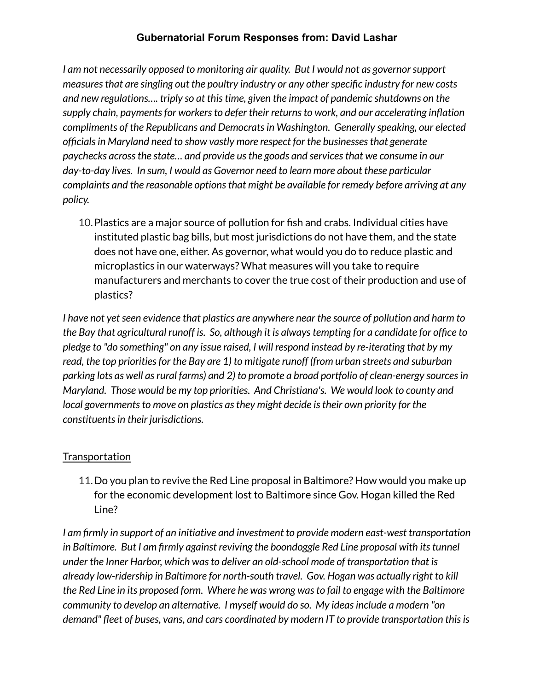*I am not necessarily opposed to monitoring air quality. But I would not as governorsupport measuresthat are singling out the poultry industry or any otherspecific industry for new costs and new regulations…. triply so at thistime, given the impact of pandemic shutdowns on the supply chain, paymentsfor workersto defer their returnsto work, and our accelerating inflation compliments of the Republicans and Democratsin Washington. Generally speaking, our elected officialsin Maryland need to show vastly more respect for the businessesthat generate paychecks acrossthe state… and provide usthe goods and servicesthat we consume in our day-to-day lives. In sum, I would as Governor need to learn more about these particular complaints and the reasonable optionsthat might be available for remedy before arriving at any policy.*

10.Plastics are a major source of pollution for fish and crabs. Individual cities have instituted plastic bag bills, but most jurisdictions do not have them, and the state does not have one, either. As governor, what would you do to reduce plastic and microplastics in our waterways? What measures will you take to require manufacturers and merchants to cover the true cost of their production and use of plastics?

*I* have not yet seen evidence that plastics are anywhere near the source of pollution and harm to *the Bay that agricultural runoff is. So, although it is alwaystempting for a candidate for office to pledge to "do something" on any issue raised, I will respond instead by re-iterating that by my read, the top prioritiesfor the Bay are 1) to mitigate runoff (from urban streets and suburban parking lots as well asrural farms) and 2) to promote a broad portfolio of clean-energy sourcesin Maryland. Those would be my top priorities. And Christiana's. We would look to county and local* governments to move on plastics as they might decide is their own priority for the *constituentsin their jurisdictions.*

## **Transportation**

11.Do you plan to revive the Red Line proposal in Baltimore? How would you make up for the economic development lost to Baltimore since Gov. Hogan killed the Red Line?

*I am firmly in support of an initiative and investment to provide modern east-west transportation in Baltimore. But I am firmly against reviving the boondoggle Red Line proposal with itstunnel under the Inner Harbor, which wasto deliver an old-school mode of transportation that is already low-ridership in Baltimore for north-south travel. Gov. Hogan was actually right to kill the Red Line in its proposed form. Where he was wrong wasto fail to engage with the Baltimore community to develop an alternative. I myself would do so. My ideasinclude a modern "on demand" fleet of buses, vans, and cars coordinated by modern IT to provide transportation thisis*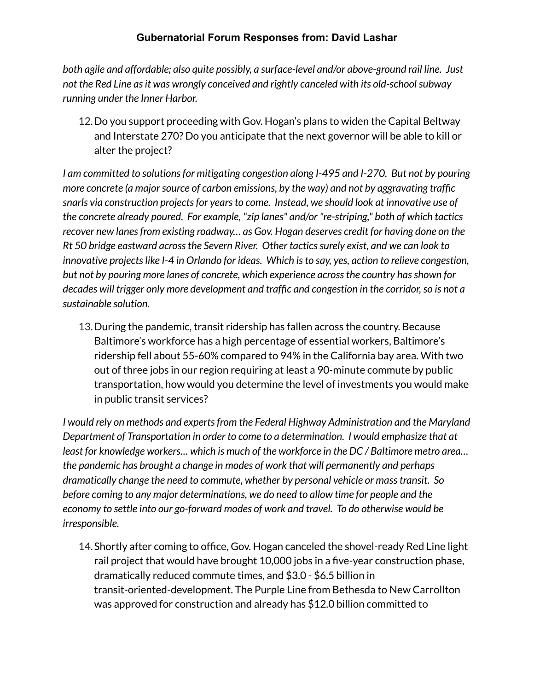*both agile and affordable; also quite possibly, a surface-level and/or above-ground rail line. Just not the Red Line asit was wrongly conceived and rightly canceled with its old-schoolsubway running under the Inner Harbor.*

12.Do you support proceeding with Gov. Hogan's plans to widen the Capital Beltway and Interstate 270? Do you anticipate that the next governor will be able to kill or alter the project?

*I am committed to solutionsfor mitigating congestion along I-495 and I-270. But not by pouring more concrete (a majorsource of carbon emissions, by the way) and not by aggravating traffic snarls via construction projectsfor yearsto come. Instead, we should look at innovative use of the concrete already poured. For example, "zip lanes" and/or "re-striping," both of which tactics recover new lanesfrom existing roadway… as Gov. Hogan deserves credit for having done on the Rt 50 bridge eastward acrossthe Severn River. Other tacticssurely exist, and we can look to innovative projectslike I-4 in Orlando for ideas. Which isto say, yes, action to relieve congestion, but not by pouring more lanes of concrete, which experience acrossthe country hasshown for decades will trigger only more development and traffic and congestion in the corridor,so is not a sustainable solution.*

13.During the pandemic, transit ridership has fallen across the country. Because Baltimore's workforce has a high percentage of essential workers, Baltimore's ridership fell about 55-60% compared to 94% in the California bay area. With two out of three jobs in our region requiring at least a 90-minute commute by public transportation, how would you determine the level of investments you would make in public transit services?

*I would rely on methods and expertsfrom the Federal Highway Administration and the Maryland Department of Transportation in order to come to a determination. I would emphasize that at least for knowledge workers… which is much of the workforce in the DC / Baltimore metro area… the pandemic has brought a change in modes of work that will permanently and perhaps dramatically change the need to commute, whether by personal vehicle or masstransit. So before coming to any major determinations, we do need to allow time for people and the economy to settle into our go-forward modes of work and travel. To do otherwise would be irresponsible.*

14.Shortly after coming to office, Gov. Hogan canceled the shovel-ready Red Line light rail project that would have brought 10,000 jobs in a five-year construction phase, dramatically reduced commute times, and \$3.0 - \$6.5 billion in transit-oriented-development. The Purple Line from Bethesda to New Carrollton was approved for construction and already has \$12.0 billion committed to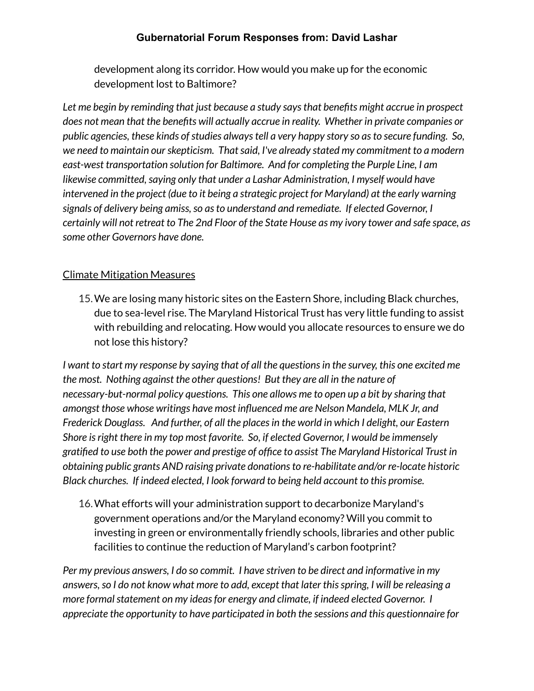development along its corridor. How would you make up for the economic development lost to Baltimore?

*Let me begin by reminding that just because a study saysthat benefits might accrue in prospect does not mean that the benefits will actually accrue in reality. Whether in private companies or public agencies, these kinds ofstudies alwaystell a very happy story so asto secure funding. So, we need to maintain ourskepticism. Thatsaid, I've already stated my commitment to a modern east-west transportation solution for Baltimore. And for completing the Purple Line, I am likewise committed,saying only that under a Lashar Administration, I myself would have intervened in the project (due to it being a strategic project for Maryland) at the early warning signals of delivery being amiss,so asto understand and remediate. If elected Governor, I* certainly will not retreat to The 2nd Floor of the State House as my ivory tower and safe space, as *some other Governors have done.*

#### Climate Mitigation Measures

15.We are losing many historic sites on the Eastern Shore, including Black churches, due to sea-level rise. The Maryland Historical Trust has very little funding to assist with rebuilding and relocating. How would you allocate resources to ensure we do not lose this history?

I want to start my response by saying that of all the questions in the survey, this one excited me *the most. Nothing against the other questions! But they are all in the nature of necessary-but-normal policy questions. This one allows me to open up a bit by sharing that amongst those whose writings have most influenced me are Nelson Mandela, MLK Jr, and Frederick Douglass. And further, of all the placesin the world in which I delight, our Eastern Shore isright there in my top most favorite. So, if elected Governor, I would be immensely gratified to use both the power and prestige of office to assist The Maryland Historical Trust in obtaining public grants AND raising private donationsto re-habilitate and/or re-locate historic Black churches. If indeed elected, I look forward to being held account to this promise.*

16.What efforts will your administration support to decarbonize Maryland's government operations and/or the Maryland economy? Will you commit to investing in green or environmentally friendly schools, libraries and other public facilities to continue the reduction of Maryland's carbon footprint?

*Per my previous answers, I do so commit. I have striven to be direct and informative in my answers,so I do not know what more to add, except that later thisspring, I will be releasing a more formalstatement on my ideasfor energy and climate, if indeed elected Governor. I appreciate the opportunity to have participated in both the sessions and this questionnaire for*